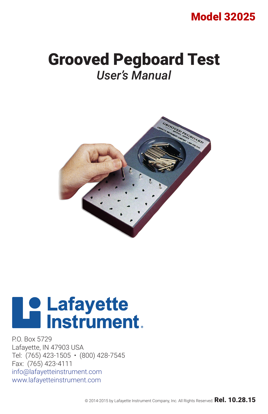# Model 32025

# Grooved Pegboard Test *User's Manual*



# **Le Lafayette<br>Le lnstrument.**

P.O. Box 5729 Lafayette, IN 47903 USA Tel: (765) 423-1505 • (800) 428-7545 Fax: (765) 423-4111 info@lafayetteinstrument.com www.lafayetteinstrument.com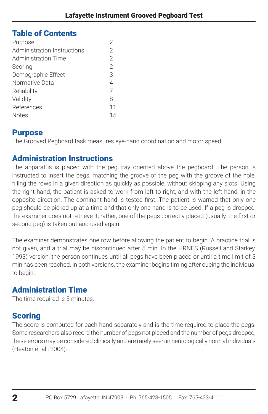# Table of Contents

| Purpose                     | 2              |
|-----------------------------|----------------|
| Administration Instructions | $\overline{2}$ |
| Administration Time         | $\overline{2}$ |
| Scoring                     | $\overline{2}$ |
| Demographic Effect          | 3              |
| Normative Data              | $\overline{4}$ |
| Reliability                 | 7              |
| Validity                    | 8              |
| References                  | 11             |
| <b>Notes</b>                | 15             |
|                             |                |

# **Purpose**

The Grooved Pegboard task measures eye-hand coordination and motor speed.

# Administration Instructions

The apparatus is placed with the peg tray oriented above the pegboard. The person is instructed to insert the pegs, matching the groove of the peg with the groove of the hole, filling the rows in a given direction as quickly as possible, without skipping any slots. Using the right hand, the patient is asked to work from left to right, and with the left hand, in the opposite direction. The dominant hand is tested first. The patient is warned that only one peg should be picked up at a time and that only one hand is to be used. If a peg is dropped, the examiner does not retrieve it; rather, one of the pegs correctly placed (usually, the first or second peg) is taken out and used again.

The examiner demonstrates one row before allowing the patient to begin. A practice trial is not given, and a trial may be discontinued after 5 min. In the HRNES (Russell and Starkey, 1993) version, the person continues until all pegs have been placed or until a time limit of 3 min has been reached. ln both versions, the examiner begins timing after cueing the individual to begin.

# Administration Time

The time required is 5 minutes.

# **Scoring**

The score is computed for each hand separately and is the time required to place the pegs. Some researchers also record the number of pegs not placed and the number of pegs dropped; these errors may be considered clinically and are rarely seen in neurologically normal individuals (Heaton et al., 2004).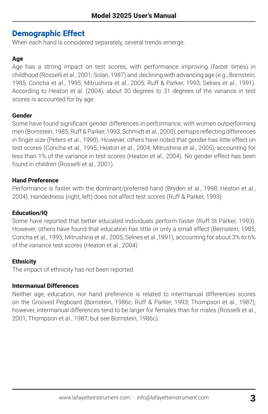# Demographic Effect

When each hand is considered separately, several trends emerge.

## Age

Age has a strong impact on test scores, with performance improving (faster times) in childhood (RosseIli et al., 2001; Solan, 1987) and declining with advancing age (e.g., Bornstein, 1985; Concha et al., 1995; Mitrushina et al., 2005; Ruff & Parker, 1993; Selnes et al., 1991). According to Heaton et al. (2004), about 30 degrees to 31 degrees of the variance in test scores is accounted for by age.

## Gender

Some have found significant gender differences in performance, with women outperforming men (Bornstein, 1985; Ruff & Parker, 1993; Schmidt et al., 2000), perhaps reflecting differences in finger size (Peters et al., 1990). However, others have noted that gender has little effect on test scores (Concha et al., 1995; Heaton et al., 2004; Mitrushina et al., 2005), accounting for less than 1% of the variance in test scores (Heaton et al., 2004). No gender effect has been found in children (Rosselli et al., 2001).

## Hand Preference

Performance is faster with the dominant/preferred hand (Bryden et al., 1998; Heaton et al., 2004). Handedness (right, left) does not affect test scores (Ruff & Parker, 1993).

## Education/IQ

Some have reported that better educated individuals perform faster (Ruff St Parker, 1993). However, others have found that education has little or only a small effect (Bernstein, 1985; Concha et al., 1995; Mitrushina et al., 2005; Selnes et al.,1991), accounting for about 3% to 6% of the variance test scores (Heaton et al., 2004).

## **Ethnicity**

The impact of ethnicity has not been reported.

## Intermanual Differences

Neither age, education, nor hand preference is related to intermanual differences scores on the Grooved Pegboard (Bornstein, 1986c; Ruff & Parker, 1993; Thompson et al., 1987); however, intermanual differences tend to be larger for females than for males (Rosselli et al., 2001; Thompson et al., 1987; but see Bornstein, 1986c).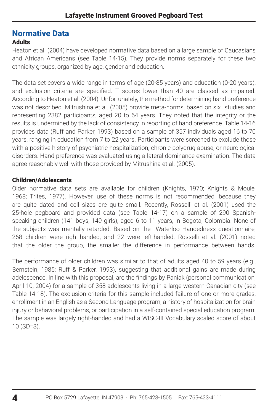# Normative Data

# Adults

Heaton et al. (2004) have developed normative data based on a large sample of Caucasians and African Americans (see Table 14-15), They provide norms separately for these two ethnicity groups, organized by age, gender and education.

The data set covers a wide range in terms of age (20-85 years) and education (0-20 years), and exclusion criteria are specified. T scores lower than 40 are classed as impaired. According to Heaton et al. (2004). Unfortunately, the method for determining hand preference was not described. Mitrushina et al. (2005) provide meta-norms, based on six studies and representing 2382 participants, aged 20 to 64 years. They noted that the integrity or the results is undermined by the lack of consistency in reporting of hand preference. Table 14-16 provides data (Ruff and Parker, 1993) based on a sample of 357 individuals aged 16 to 70 years, ranging in education from 7 to 22 years. Participants were screened to exclude those with a positive history of psychiatric hospitalization, chronic polydrug abuse, or neurological disorders. Hand preference was evaluated using a lateral dominance examination. The data agree reasonably well with those provided by Mitrushina et al. (2005).

## Children/Adolescents

Older normative data sets are available for children (Knights, 1970; Knights & Moule, 1968; Trites, 1977). However, use of these norms is not recommended, because they are quite dated and cell sizes are quite small. Recently, Rosselli et al. (2001) used the 25-hole pegboard and provided data (see Table 14-17) on a sample of 290 Spanishspeaking children (141 boys, 149 girls), aged 6 to 11 years, in Bogota, Colombia. None of the subjects was mentally retarded. Based on the Waterloo Handedness questionnaire, 268 children were right-handed, and 22 were left-handed. Rosselli et al. (2001) noted that the older the group, the smaller the difference in performance between hands.

The performance of older children was similar to that of adults aged 40 to 59 years (e.g., Bernstein, 1985; Ruff & Parker, 1993), suggesting that additional gains are made during adelescence. In line with this proposal, are the findings by Paniak (personal communication, April 10, 2004) for a sample of 358 adolescents living in a large western Canadian city (see Table 14-18). The exclusion criteria for this sample included failure of one or more grades, enrollment in an English as a Second Language program, a history of hospitalization for brain injury or behavioral problems, or participation in a self-contained special education program. The sample was largely right-handed and had a WISC-III Vocabulary scaled score of about 10 (SD=3).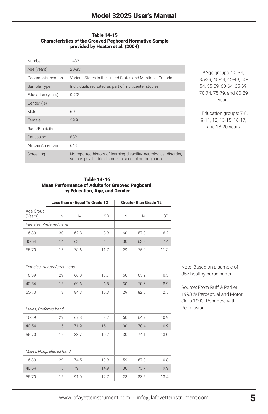#### Table 14-15 Characteristics of the Grooved Pegboard Normative Sample provided by Heaton et al. (2004)

| Number              | 1482                                                                                                                         |
|---------------------|------------------------------------------------------------------------------------------------------------------------------|
| Age (years)         | $20 - 85$ <sup>a</sup>                                                                                                       |
| Geographic location | Various States in the United States and Manitoba, Canada                                                                     |
| Sample Type         | Individuals recruited as part of multicenter studies                                                                         |
| Education (years)   | $0 - 20b$                                                                                                                    |
| Gender (%)          |                                                                                                                              |
| Male                | 60.1                                                                                                                         |
| Female              | 39.9                                                                                                                         |
| Race/Ethnicity      |                                                                                                                              |
| Caucasian           | 839                                                                                                                          |
| African American    | 643                                                                                                                          |
| Screening           | No reported history of learning disability, neurological disorder,<br>serious psychiatric disorder, or alcohol or drug abuse |

a Age groups: 20-34, 35-39, 40-44, 45-49, 50- 54, 55-59, 60-64, 65-69, 70-74, 75-79, and 80-89 years

**b**Education groups: 7-8, 9-11, 12, 13-15, 16-17, and 18-20 years

#### Table 14-16 Mean Performance of Adults for Grooved Pegboard, by Education, Age, and Gender

|                            | Less than or Equal To Grade 12 |      |      |    | <b>Greater than Grade 12</b> |      |
|----------------------------|--------------------------------|------|------|----|------------------------------|------|
| Age Group<br>(Years)       | N                              | M    | SD   | N  | M                            | SD   |
| Females, Preferred hand    |                                |      |      |    |                              |      |
| 16-39                      | 30                             | 62.8 | 8.9  | 60 | 57.8                         | 6.2  |
| $40 - 54$                  | 14                             | 63.1 | 4.4  | 30 | 63.3                         | 7.4  |
| 55-70                      | 15                             | 78.6 | 11.7 | 29 | 75.3                         | 11.3 |
| Females, Nonpreferred hand |                                |      |      |    |                              |      |
| 16-39                      | 29                             | 66.8 | 10.7 | 60 | 65.2                         | 10.3 |
| $40 - 54$                  | 15                             | 69.6 | 6.5  | 30 | 70.8                         | 8.9  |
| 55-70                      | 13                             | 84.3 | 15.3 | 29 | 82.0                         | 12.5 |
| Males, Preferred hand      |                                |      |      |    |                              |      |
| 16-39                      | 29                             | 67.8 | 9.2  | 60 | 64.7                         | 10.9 |
| $40 - 54$                  | 15                             | 71.9 | 15.1 | 30 | 70.4                         | 10.9 |
| 55-70                      | 15                             | 83.7 | 10.2 | 30 | 74.1                         | 13.0 |
| Males, Nonpreferred hand   |                                |      |      |    |                              |      |
| 16-39                      | 29                             | 74.5 | 10.9 | 59 | 67.8                         | 10.8 |
| $40 - 54$                  | 15                             | 79.1 | 14.9 | 30 | 73.7                         | 9.9  |
| 55-70                      | 15                             | 91.0 | 12.7 | 28 | 83.5                         | 13.4 |

Note: Based on a sample of 357 healthy participants

Source: From Ruff & Parker 1993 © Perceptual and Motor Skills 1993. Reprinted with Permission.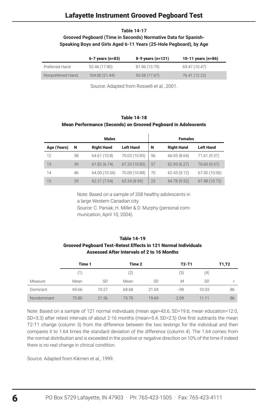#### **Table 14-17**

## **Grooved Pegboard (Time in Seconds) Normative Data for Spanish-Speaking Boys and Girls Aged 6-11 Years (25-Hole Pegboard), by Age**

|                   | $6 - 7$ years (n=83) | 8-9 years (n=121) | 10-11 years (n=86) |
|-------------------|----------------------|-------------------|--------------------|
| Preferred Hand    | 92.46 (17.80)        | 81.96 (13.79)     | 69.47 (10.47)      |
| Nonpreferred Hand | 104.00 (21.44)       | 93.58 (17.67)     | 76.41 (12.22)      |

Source: Adapted from Rosselli et al., 2001.

#### Table 14-18

#### Mean Performance (Seconds) on Grooved Pegboard in Adolescents

| <b>Males</b> |    |                   |                  | <b>Females</b> |                   |                  |
|--------------|----|-------------------|------------------|----------------|-------------------|------------------|
| Age (Years)  | N  | <b>Right Hand</b> | <b>Left Hand</b> | N              | <b>Right Hand</b> | <b>Left Hand</b> |
| 12           | 38 | 64.61 (10.8)      | 70.03 (10.85)    | 56             | 66.05 (8.64)      | 71.61 (9.37)     |
| 13           | 39 | 61.82(6.74)       | 67.33 (10.85)    | 57             | 62.93(6.27)       | 70.60 (9.57)     |
| 14           | 46 | 64.00 (10.54)     | 70.09 (10.88)    | 70             | 62.43 (9.12)      | 67.30 (10.06)    |
| 15           | 29 | 62.21 (7.04)      | 63.34 (8.95)     | 23             | 64.78 (9.52)      | 67.48 (10.72)    |

Note: Based on a sample of 358 healthy adolescents in a large Western Canadian city. Source: C. Paniak, H. Miller & D. Murphy (personal com-

munication, April 10, 2004).

## Table 14-19 Grooved Pegboard Test-Retest Effects in 121 Normal Individuals Assessed After Intervals of 2 to 16 Months

|             | Time 1 |           | Time 2 |       | $T2-T1$ |                     | T1,T2 |
|-------------|--------|-----------|--------|-------|---------|---------------------|-------|
|             | 1      |           | (2)    |       | (3)     | $\scriptstyle{(4)}$ |       |
| Measure     | Mean   | <b>SD</b> | Mean   | SD    | М       | SD                  |       |
| Dominant    | 69.66  | 19.27     | 68.68  | 21.04 | $-98$   | 10.03               | .86   |
| Nondominant | 75.80  | 21.56     | 73.70  | 19.69 | $-2.09$ | 11.11               | .86   |

Note: Based on a sample of 121 normal individuals (mean age=43.6, SD=19.6; mean education=12.0, SD=3.3) after retest intervals of about 2-16 months (mean=5.4, SD=2.5) One first subtracts the mean T2-T1 change (column 3) from the difference between the two testings for the individual and then compares it to 1.64 times the standard deviation of the difference (column 4). The 1.64 comes from the normal distribution and is exceeded in the positive or negative direction on 10% of the time if indeed there is no real change in clinical condition.

Source: Adapted from Kikmen et al., 1999.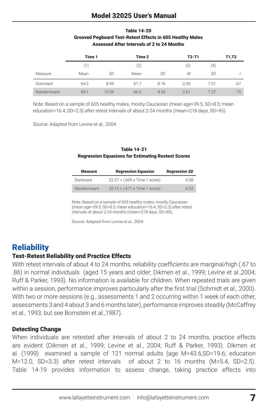# Model 32025 User's Manual

## Table 14-20 Grooved Pegboard Test-Retest Effects in 605 Healthy Males Assessed After Intervals of 2 to 24 Months

|             | Time 1 |       | Time 2 |      | $T2-T1$ |      | T1,T2 |
|-------------|--------|-------|--------|------|---------|------|-------|
|             | (1)    |       | (2)    |      | (3)     | (4)  |       |
| Measure     | Mean   | SD    | Mean   | SD   | M       | SD   |       |
| Dominant    | 64.2   | 8.94  | 61.7   | 8.16 | $-2.50$ | 7.01 | .67   |
| Nondominant | 69.1   | 10.39 | 66.5   | 9.55 | $-2.61$ | 7.37 | .73   |

Note: Based on a sample of 605 healthy males, mostly Caucasian (mean age=39.5, SD=8.5; mean education=16.4, SD=2.3) after retest intervals of about 2-24 months (mean=218 days, SD=95).

Source: Adapted from Levine et al., 2004.

|                                                           | <b>Table 14-21</b> |  |
|-----------------------------------------------------------|--------------------|--|
| <b>Regression Equasions for Estimating Restest Scores</b> |                    |  |

| <b>Measure</b> | <b>Regression Equasion</b>    | <b>Regression SD</b> |
|----------------|-------------------------------|----------------------|
| Dominant       | 22.57 + (.609 x Time 1 score) | 6.08                 |
| Nondominant    | 20.15 + (.671 x Time 1 score) | 6.53                 |

Note: Based on a sample of 605 healthy males, mostly Caucasian (mean age=39.5, SD=8.5; mean education=16.4, SD=2.3) after retest intervals of about 2-24 months (mean=218 days, SD=95).

Source: Adapted from Levine et al., 2004.

# **Reliability**

## Test-Retest Reliability ond Practice Effects

With retest intervals of about 4 to 24 months, reliability coefficients are marginal/high (.67 to .86) in normal individuals (aged 15 years and older; Dikmen et al., 1999; Levine et al.,2004; Ruff & Parker, 1993). No information is available for children. When repeated trials are given within a session, performance improves particularly after the first trial (Schmidt et al., 2000). With two or more sessions (e.g., assessments 1 and 2 occurring within 1 week of each other, assessments 3 and 4 about 3 and 6 months later), performance improves steadily (McCaffrey et al., 1993; but see Bornstein et al.,1987).

## Detecting Change

When individuals are retested after intervals of about 2 to 24 months, practice effects are evident (Dikrnen et al., 1999; Levine et al., 2004; Ruff & Parker, 1993). Dikmen et al. (1999) examined a sample of 121 normal adults (age M=43.6,SD=19.6; education M=12.0, SD=3.3) after retest intervals of about 2 to 16 months (M=5.4, SD=2.5). Table 14-19 provides information to assess change, taking practice effects into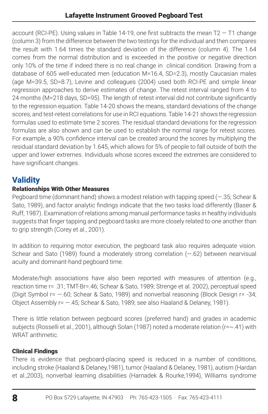account (RCI-PE). Using values in Table 14-19, one first subtracts the mean  $T2 - T1$  change (column 3) from the difference between the two testings for the individual and then compares the result with 1.64 times the standard deviation of the difference (column 4). The 1.64 comes from the normal distribution and is exceeded in the positive or negative direction only 10% of the time if indeed there is no real change in clinical condition. Drawing from a database of 605 well-educated men (education M=16.4, SD=2.3), mostly Caucasian males (age M=39.5, SD=8.7), Levine and colleagues (2004) used both RCI-PE and simple linear regression approaches to derive estimates of change. The retest interval ranged from 4 to 24 months (M=218 days, SD=95). The length of retest interval did not contribute significantly to the regression equation. Table 14-20 shows the means, standard deviations of the change scores, and test-retest correlations for use in RCI equations. Table 14-21 shows the regression formulas used to estimate time 2 scores. The residual standard deviations for the regression formulas are also shown and can be used to establish the normal range for retest scores. For example, a 90% confidence interval can be created around the scores by multiplying the residual standard deviation by 1.645, which allows for 5% of people to fall outside of both the upper and lower extremes. Individuals whose scores exceed the extremes are considered to have significant changes.

# **Validity**

# Relationships With Other Measures

Pegboard time (dominant hand) shows a modest relation with tapping speed (—.35; Schear & Sato, 1989), and factor analytic findings indicate that the two tasks load differently (Baser & Ruff, 1987). Examination of relations among manual performance tasks in healthy individuals suggests that finger tapping and pegboard tasks are more closely related to one another than to grip strength (Corey et al., 2001).

In addition to requiring motor execution, the pegboard task also requires adequate vision. Schear and Sato (1989) found a moderately strong correlation (—.62) between nearvisual acuity and dominant-hand pegboard time.

Moderate/high associations have also been reported with measures of attention (e.g., reaction time r= .31; TMT-Br=.46; Schear & Sato, 1989; Strenge et al. 2002), perceptual speed (Digit Symbol r= —.60; Schear & Sato, 1989) and nonverbal reasoning (Block Design r= -34; Object Assembly r= —.45; Schear & Sato, 1989; see also Haaland & Delaney, 1981).

There is little relation between pegboard scores (preferred hand) and grades in academic subjects (Rosselli et al., 2001), although Solan (1987) noted a moderate relation (r=~.41) with WRAT arithmetic.

# Clinical Findings

There is evidence that pegboard-placing speed is reduced in a number of conditions, including stroke (Haaland & Delaney,1981), tumor (Haaland & Delaney, 1981), autism (Hardan et al.,2003), nonverbal learning disabilities (Harnadek & Rourke,1994), Williams syndrome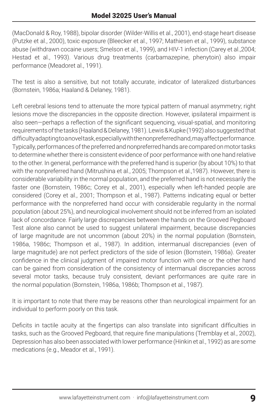(MacDonald & Roy, 1988), bipolar disorder (Wilder-Willis et al., 2001), end-stage heart disease (Putzke et al., 2000), toxic exposure (Bleecker et al., 1997; Mathiesen et al., 1999), substance abuse (withdrawn cocaine users; Smelson et al., 1999), and HIV-1 infection (Carey et al.,2004; Hestad et al., 1993). Various drug treatments (carbamazepine, phenytoin) also impair performance (Meadoret al., 1991).

The test is also a sensitive, but not totally accurate, indicator of lateralized disturbances (Bornstein, 1986a; Haaland & Delaney, 1981).

Left cerebral lesions tend to attenuate the more typical pattern of manual asymmetry; right lesions move the discrepancies in the opposite direction. However, ipsilateral impairment is also seen—perhaps a reflection of the significant sequencing, visual-spatial, and monitoring requirements of the tasks (Haaland & Delaney, 1981). Lewis & Kupke (1992) also suggested that difficulty adapting to a novel task, especially with the nonpreferred hand, may affect performance. Typically, performances of the preferred and nonpreferred hands are compared on motor tasks to determine whether there is consistent evidence of poor performance with one hand relative to the other. In general, performance with the preferred hand is superior (by about 10%) to that with the nonpreferred hand (Mitrushina et al., 2005; Thompson et al.,1987). However, there is considerable variability in the normal population, and the preferred hand is not necessarily the faster one (Bornstein, 1986c; Corey et al., 2001), especially when left-handed people are considered (Corey et al., 2001; Thompson et al., 1987). Patterns indicating equal or better performance with the nonpreferred hand occur with considerable regularity in the normal population (about 25%), and neurological involvement should not be inferred from an isolated lack of concordance. Fairly large discrepancies between the hands on the Grooved Pegboard Test alone also cannot be used to suggest unilateral impairment, because discrepancies of large magnitude are not uncommon (about 20%) in the normal population (Bornstein, 1986a, 1986c; Thompson et al., 1987). In addition, intermanual discrepancies (even of large magnitude) are not perfect predictors of the side of lesion (Bornstein, 1986a). Greater confidence in the clinical judgment of impaired motor function with one or the other hand can be gained from consideration of the consistency of intermanual discrepancies across several motor tasks, because truly consistent, deviant performances are quite rare in the normal population (Bornstein, 1986a, 1986b; Thompson et al., 1987).

It is important to note that there may be reasons other than neurological impairment for an individual to perform poorly on this task.

Deficits in tactile acuity at the fingertips can also translate into significant difficulties in tasks, such as the Grooved Pegboard, that require fine manipulations (Tremblay et al., 2002), Depression has also been associated with lower performance (Hinkin et al., 1992) as are some medications (e.g., Meador et al., 1991).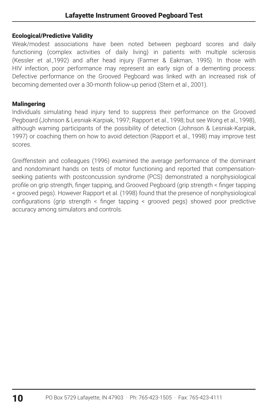## Ecological/Predictive Validity

Weak/modest associations have been noted between pegboard scores and daily functioning (complex activities of daily living) in patients with multiple sclerosis (Kessler et al.,1992) and after head injury (Farmer & Eakman, 1995). In those with HIV infection, poor performance may represent an early sign of a dementing process: Defective performance on the Grooved Pegboard was linked with an increased risk of becoming demented over a 30-month foliow-up period (Stern et al., 2001).

## Malingering

Individuals simulating head injury tend to suppress their performance on the Grooved Pegboard (Johnson & Lesniak-Karpiak, 1997; Rapport et al., 1998; but see Wong et al., 1998), although warning participants of the possibility of detection (Johnson & Lesniak-Karpiak, 1997) or coaching them on how to avoid detection (Rapport et al., 1998) may improve test scores.

Greiffenstein and colleagues (1996) examined the average performance of the dominant and nondominant hands on tests of motor functioning and reported that compensationseeking patients with postconcussion syndrome (PCS) demonstrated a nonphysiological profile on grip strength, finger tapping, and Grooved Pegboard (grip strength < finger tapping < grooved pegs). However Rapport et al. (1998) found that the presence of nonphysiological configurations (grip strength < finger tapping < grooved pegs) showed poor predictive accuracy among simulators and controls.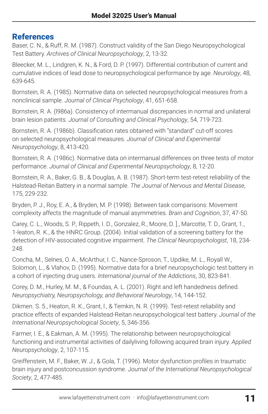# References

Baser, C. N., & Ruff, R. M. (1987). Construct validity of the San Diego Neuropsychological Test Battery. *Archives of Clinical Neuropsychology*, 2, 13-32.

Bleecker, M. L., Lindgren, K. N., & Ford, D. P. (1997). Differential contribution of current and cumulative indices of lead dose to neuropsychological performance by age. *Neurology*, 48, 639-645.

Bornstein, R. A. (1985). Normative data on selected neuropsychological measures from a nonclinical sample. *Journal of Clinical Psychology*, 41, 651-658.

Bornstein, R. A. (l986a). Consistency of intermanual discrepancies in normal and unilateral brain lesion patients. *Journal of Consulting and Clinical Psychology*, 54, 719-723.

Bornstein, R. A. (1986b). Classification rates obtained with "standard" cut-off scores on selected neuropsychological measures. *Journal of Clinical and Experimental Neuropsychology*, 8, 413-420.

Bornstein, R. A. (1986c). Normative data on intermanual differences on three tests of motor performance. *Journal of Clinical and Experimental Neuropsychology*, 8, 12-20.

Bornstein, R. A., Baker, G. B., & Douglas, A. B. (1987). Short-term test-retest reliability of the Halstead-Reitan Battery in a normal sample. *The Journal of Nervous and Mental Disease*, 175, 229-232.

Bryden, P. J., Roy, E. A., & Bryden, M. P. (1998). Between task comparisons: Movement complexity affects the magnitude of manual asymmetries. *Brain and Cognition*, 37, 47-50.

Carey, C. L., Woods, S. P., Rippeth, I. D., Gonzalez, R., Moore, D. ]., Marcotte, T. D., Grant, 1., 1-leaton, R. K., & the HNRC Group. (2004). Initial validation of a screening battery for the detection of HIV-associated cognitive impairment. *The Clinical Neuropsychologist*, 18, 234- 248.

Concha, M., Selnes, O. A., McArthur, I. C., Nance-Sproson, T., Updike, M. L., Royall W., Solomon, L., & Vlahov, D. (1995). Normative data for a brief neuropsychologic test battery in a cohort of injecting drug users. *International journal of the Addictions*, 30, 823-841.

Corey, D. M., Hurley, M. M., & Foundas, A. L. (2001). Right and left handedness defined. *Neuropsychiatry, Neuropsychology, and Behavioral Neurology*, 14, 144-152.

Dikmen. S. 5., Heaton, R. K., Grant, l., & Temkin, N. R. (1999). Test-retest reliability and practice effects of expanded Halstead-Reitan neuropsychological test battery. *Journal of the International Neuropsychological Society*, 5, 346-356.

Farmer, I. E., & Eakman, A. M. (1995). The relationship between neuropsychological functioning and instrumental activities of dailyliving following acquired brain injury. *Applied Neuropsychology*, 2, 107-115.

Greiffenstein, M. F., Baker, W. J., & Gola, T. (1996). Motor dysfunction profiles in traumatic brain injury and postconcussion syndrome. J*ournal of the International Neuropsychological Society*, 2, 477-485.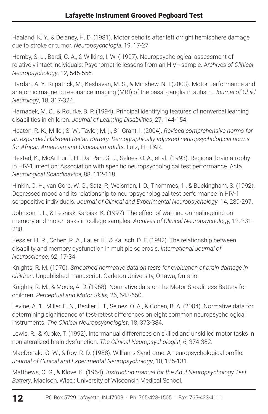Haaland, K. Y., & Delaney, H. D. (1981). Motor deficits after left orright hemisphere damage due to stroke or tumor. *Neuropsychologia*, 19, 17-27.

Hamby, S. L., Bardi, C. A., & Wilkins, I. W. ( 1997). Neuropsychological assessment of relatively intact individuals: Psychometric lessons from an HlV+ sample. A*rchives of Clinical Neuropsychology*, 12, 545-556.

Hardan, A. Y., Kilpatrick, M., Keshavan, M. S., & Minshew, N. I.(2003). Motor performance and anatomic magnetic resonance imaging (MRI) of the basal ganglia in autism. *Journal of Child Neurology*, 18, 317-324.

Harnadek, M. C., & Rourke, B. P. (1994). Principal identifying features of nonverbal learning disabilities in children. *Journal of Learning Disabilities*, 27, 144-154.

Heaton, R. K., Miller, S. W., Taylor, M. ]., 81 Grant, l. (2004). *Revised comprehensive norms for an expanded Halstead-Reitan Battery: Demographically adjusted neuropsychological norms for African American and Caucasian adults*. Lutz, FL: PAR.

Hestad, K., McArthur, I. H., Dal Pan, G. J., Selnes, O. A., et al., (1993). Regional brain atrophy in HIV-1 infection: Association with specific neuropsychological test performance. Acta *Neurological Scandinavica*, 88, 112-118.

Hinkin, C. H., van Gorp, W. G., Satz, P., Weisman, I. D., Thommes, 1., & Buckingham, S. (1992). Depressed mood and its relationship to neuropsychological test performance in HIV-1 seropositive individuals. *Journal of Clinical and Experimental Neuropsychology*, 14, 289-297.

Johnson, I. L., & Lesniak-Karpiak, K. (1997). The effect of warning on malingering on memory and motor tasks in college samples. *Archives of Clinical Neuropsychology,* 12, 231- 238.

Kessler, H. R., Cohen, R. A., Lauer, K., & Kausch, D. F. (1992). The relationship between disability and memory dysfunction in multiple sclerosis. *International Journal of Neuroscience*, 62, 17-34.

Knights, R. M. (1970). *Srnoothed normative data on tests for evaluation of brain damage in children*. Unpublished manuscript. Carleton University, Ottawa, Ontario.

Knights, R. M., & Moule, A. D. (1968). Normative data on the Motor Steadiness Battery for children. *Perceptual and Motor Skills,* 26, 643-650.

Levine, A. 1., Miller, E. N., Becker, I. T., Selnes, O. A., & Cohen, B. A. (2004). Normative data for determining significance of test-retest differences on eight common neuropsychological instruments. *The Clinical Neuropsychologist*, 18, 373-384.

Lewis, R., & Kupke, T. (1992). lnterrnanual differences on skilled and unskilled motor tasks in nonlateralized brain dysfunction. *The Clinical Neuropsychologist*, 6, 374-382.

MacDonald, G. W., & Roy, R. D. (1988). Williams Syndrome: A neuropsychological profile. *Journal of Clinical and Experimental Neuropsychology*, 10, 125-131.

Matthews, C. G., & Klove, K. (1964). *Instruction manual for the Adul Neuropsychology Test Battery*. Madison, Wisc.: University of Wisconsin Medical School.

12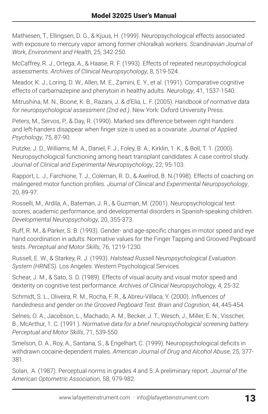Mathiesen, T., Ellingsen, D. G., & Kjuus, H. (1999). Neuropsychological effects associated with exposure to mercury vapor among former chloralkali workers. *Scandinavian Journal of Work, Environment and Health*, 25, 342-250.

McCaffrey, R. J., Ortega, A., & Haase, R. F. (1993). Effects of repeated neuropsychological assessments. *Archives of Clinical Neuropsychology*, 8, 519-524.

Meador, K. J., Loring, D. W., Allen, M. E., Zamini, E. Y., et al. (1991). Comparative cognitive effects of carbamazepine and phenytoin in healthy adults. *Neurology*, 41, 1537-1540.

Mitrushina, M. N., Boone, K. B., Razani, J. & d'Elia, L. F. (2005). *Handbook of normative data for neuropsychological assessment (2nd ed.)*. New York: Oxford University Press.

Peters, M., Servos, P., & Day, R. (1990). Marked sex difference between right-handers and left-handers disappear when finger size is used as a covariate. *Journal of Applied Psychology*, 75, 87-90.

Putzke, J. D., Williams, M. A., Daniel, F. J., Foley, B. A., Kirklin, 1. K., & Boll, T. 1. (2000). Neuropsychological functioning among heart transplant candidates: A case control study. *Journal of Clinical and Experimental Neuropsychology*, 22, 95-103.

Rapport, L. J., Farchione, T. J., Coleman, R. D., & Axelrod, B. N.(1998). Effects of coaching on malingered motor function profiles. *Journal of Clinical and Experimental Neuropsychology*, 20, 89-97.

Rosselli, M., Ardila, A., Bateman, J. R., & Guzman, M. (2001). Neuropsychological test scores, academic performance, and developmental disorders in Spanish-speaking children. *Developmental Neuropsychology*, 20, 355-373.

Ruff, R. M., & Parker, S. B. (1993). Gender- and age-specific changes in motor speed and eye hand coordination in adults: Normative values for the Finger Tapping and Grooved Pegboard tests. *Perceptual and Motor Skills*, 76, 1219-1230.

Russell, E. W., & Starkey, R. J. (1993). *Halstead Russell Neuropsychological Evaluation System (HRNES)*. Los Angeles: Western Psychological Services.

Schear, J. M., & Sato, S. D. (1989). Effects of visual acuity and visual motor speed and dexterity on cognitive test performance. *Archives of Clinical Neuropsychology,* 4, 25-32.

Schmidt, S. L., Oliveira, R. M., Rocha, F. R., & Abreu-Villaca, Y. (2000). *Influences of handedness and gender on the Grooved Pegboard Test. Brain and Cognition*, 44, 445-454.

Selnes, O. A., Jacobson, L., Machado, A. M., Becker, J. T., Wesch, J., Miller, E. N., Visscher, B., McArthur, 1. C. (1991 ). *Normative data for a brief neuropsychological screening battery. Perceptual and Motor Skills*, 71, 539-550.

Smelson, D. A., Roy, A., Santana, S., & Engelhart, C. (1999). Neuropsychological deficits in withdrawn cocaine-dependent males. *American Journal of Drug and Alcohol Abuse*, 25, 377- 381.

Solan, A. (1987). Perceptual norms in grades 4 and 5: A preliminary report. *Journal of the American Optometric Association*, 58, 979-982.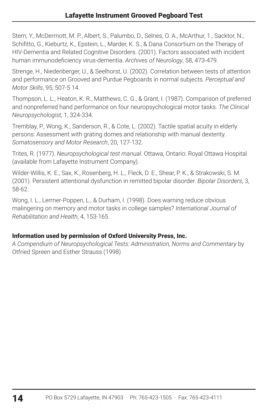Stern, Y., McDerrnott, M. P., Albert, S., Palumbo, D., Selnes, O. A., McArthur, 1., Sacktor, N., Schifitto, G., Kieburtz, K., Epstein, L., Marder, K. S., & Dana Consortium on the Therapy of HIV-Dementia and Related Cognitive Disorders. (2001). Factors associated with incident human immunodeficiency virus-dementia. *Archives of Neurology*, 58, 473-479.

Strenge, H., Niedenberger, U., & Seelhorst, U. (2002). Correlation between tests of attention and performance on Grooved and Purdue Pegboards in normal subjects. *Perceptual and Motor Skills*, 95, 507-5 14.

Thompson, L. L., Heaton, K. R., Matthews, C. G., & Grant, I. (1987). Comparison of preferred and nonpreferred hand performance on four neuropsychological motor tasks. *The Clinical Neuropsychologist,* 1, 324-334.

Tremblay, P., Wong, K., Sanderson, R., & Cote, L. (2002). Tactile spatial acuity in elderly persons: Assessment with grating domes and relationship with manual dexterity. *Somatosensory and Motor Research*, 20, 127-132.

Trites, R. (1977). *Neuropsychological test manual*. Ottawa, Ontario: Royal Ottawa Hospital (available from Lafayette Instrument Company).

Wilder-Willis, K. E., Sax, K., Rosenberg, H. L., Fleck, D. E., Shear, P. K., & Strakowski, S. M. (2001). Persistent attentional dysfunction in remitted bipolar disorder. *Bipolar Disorders*, 3, 58-62.

Wong, I. L., Lerrner-Poppen, L., & Durham, I. (1998). Does warning reduce obvious malingering on memory and motor tasks in college samples? *International Journal of Rehabilitation and Health*, 4, 153-165.

## Information used by permission of Oxford University Press, Inc.

*A Compendium of Neuropsychological Tests: Administration, Norms and Commentary* by Otfried Spreen and Esther Strauss (1998)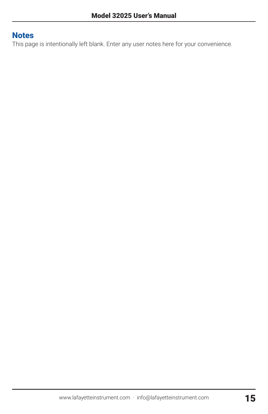# **Notes**

This page is intentionally left blank. Enter any user notes here for your convenience.